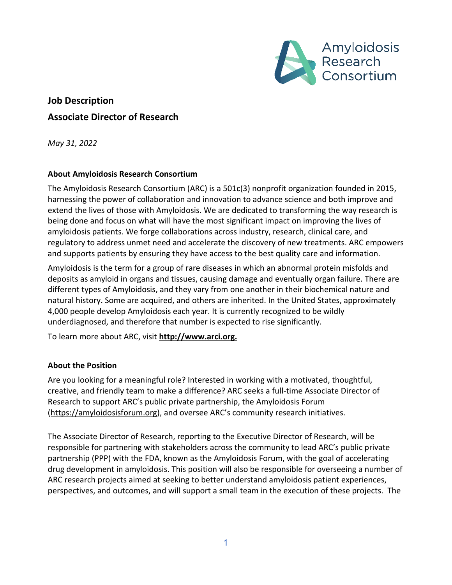

# **Job Description Associate Director of Research**

*May 31, 2022*

# **About Amyloidosis Research Consortium**

The Amyloidosis Research Consortium (ARC) is a 501c(3) nonprofit organization founded in 2015, harnessing the power of collaboration and innovation to advance science and both improve and extend the lives of those with Amyloidosis. We are dedicated to transforming the way research is being done and focus on what will have the most significant impact on improving the lives of amyloidosis patients. We forge collaborations across industry, research, clinical care, and regulatory to address unmet need and accelerate the discovery of new treatments. ARC empowers and supports patients by ensuring they have access to the best quality care and information.

Amyloidosis is the term for a group of rare diseases in which an abnormal protein misfolds and deposits as amyloid in organs and tissues, causing damage and eventually organ failure. There are different types of Amyloidosis, and they vary from one another in their biochemical nature and natural history. Some are acquired, and others are inherited. In the United States, approximately 4,000 people develop Amyloidosis each year. It is currently recognized to be wildly underdiagnosed, and therefore that number is expected to rise significantly.

To learn more about ARC, visit **[http://www.arci.org.](http://www.arci.org/)**

# **About the Position**

Are you looking for a meaningful role? Interested in working with a motivated, thoughtful, creative, and friendly team to make a difference? ARC seeks a full-time Associate Director of Research to support ARC's public private partnership, the Amyloidosis Forum [\(https://amyloidosisforum.org\)](https://amyloidosisforum.org/), and oversee ARC's community research initiatives.

The Associate Director of Research, reporting to the Executive Director of Research, will be responsible for partnering with stakeholders across the community to lead ARC's public private partnership (PPP) with the FDA, known as the Amyloidosis Forum, with the goal of accelerating drug development in amyloidosis. This position will also be responsible for overseeing a number of ARC research projects aimed at seeking to better understand amyloidosis patient experiences, perspectives, and outcomes, and will support a small team in the execution of these projects. The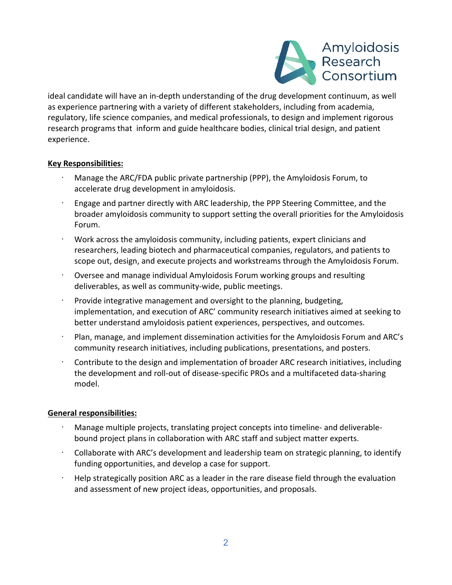

ideal candidate will have an in-depth understanding of the drug development continuum, as well as experience partnering with a variety of different stakeholders, including from academia, regulatory, life science companies, and medical professionals, to design and implement rigorous research programs that inform and guide healthcare bodies, clinical trial design, and patient experience.

# **Key Responsibilities:**

- · Manage the ARC/FDA public private partnership (PPP), the Amyloidosis Forum, to accelerate drug development in amyloidosis.
- · Engage and partner directly with ARC leadership, the PPP Steering Committee, and the broader amyloidosis community to support setting the overall priorities for the Amyloidosis Forum.
- · Work across the amyloidosis community, including patients, expert clinicians and researchers, leading biotech and pharmaceutical companies, regulators, and patients to scope out, design, and execute projects and workstreams through the Amyloidosis Forum.
- · Oversee and manage individual Amyloidosis Forum working groups and resulting deliverables, as well as community-wide, public meetings.
- Provide integrative management and oversight to the planning, budgeting, implementation, and execution of ARC' community research initiatives aimed at seeking to better understand amyloidosis patient experiences, perspectives, and outcomes.
- · Plan, manage, and implement dissemination activities for the Amyloidosis Forum and ARC's community research initiatives, including publications, presentations, and posters.
- · Contribute to the design and implementation of broader ARC research initiatives, including the development and roll-out of disease-specific PROs and a multifaceted data-sharing model.

# **General responsibilities:**

- · Manage multiple projects, translating project concepts into timeline- and deliverablebound project plans in collaboration with ARC staff and subject matter experts.
- · Collaborate with ARC's development and leadership team on strategic planning, to identify funding opportunities, and develop a case for support.
- · Help strategically position ARC as a leader in the rare disease field through the evaluation and assessment of new project ideas, opportunities, and proposals.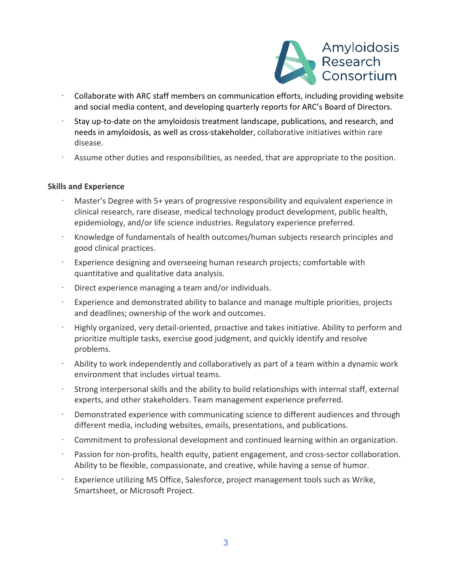

- · Collaborate with ARC staff members on communication efforts, including providing website and social media content, and developing quarterly reports for ARC's Board of Directors.
- Stay up-to-date on the amyloidosis treatment landscape, publications, and research, and needs in amyloidosis, as well as cross-stakeholder, collaborative initiatives within rare disease.
- Assume other duties and responsibilities, as needed, that are appropriate to the position.

#### **Skills and Experience**

- · Master's Degree with 5+ years of progressive responsibility and equivalent experience in clinical research, rare disease, medical technology product development, public health, epidemiology, and/or life science industries. Regulatory experience preferred.
- · Knowledge of fundamentals of health outcomes/human subjects research principles and good clinical practices.
- · Experience designing and overseeing human research projects; comfortable with quantitative and qualitative data analysis.
- · Direct experience managing a team and/or individuals.
- Experience and demonstrated ability to balance and manage multiple priorities, projects and deadlines; ownership of the work and outcomes.
- · Highly organized, very detail-oriented, proactive and takes initiative. Ability to perform and prioritize multiple tasks, exercise good judgment, and quickly identify and resolve problems.
- Ability to work independently and collaboratively as part of a team within a dynamic work environment that includes virtual teams.
- Strong interpersonal skills and the ability to build relationships with internal staff, external experts, and other stakeholders. Team management experience preferred.
- Demonstrated experience with communicating science to different audiences and through different media, including websites, emails, presentations, and publications.
- · Commitment to professional development and continued learning within an organization.
- · Passion for non-profits, health equity, patient engagement, and cross-sector collaboration. Ability to be flexible, compassionate, and creative, while having a sense of humor.
- · Experience utilizing MS Office, Salesforce, project management tools such as Wrike, Smartsheet, or Microsoft Project.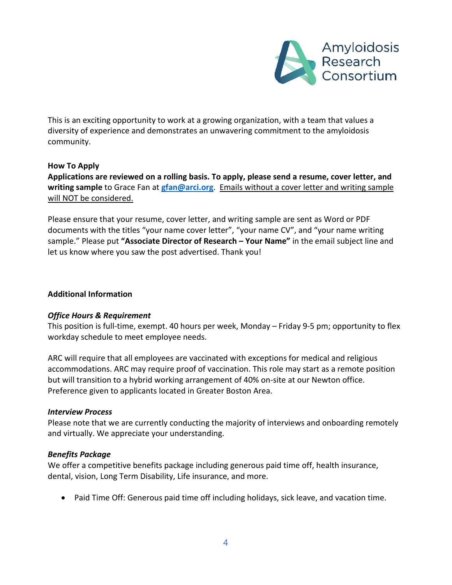

This is an exciting opportunity to work at a growing organization, with a team that values a diversity of experience and demonstrates an unwavering commitment to the amyloidosis community.

# **How To Apply**

**Applications are reviewed on a rolling basis. To apply, please send a resume, cover letter, and writing sample** to Grace Fan at **[gfan@arci.org](mailto:gfan@arci.org)**. Emails without a cover letter and writing sample will NOT be considered.

Please ensure that your resume, cover letter, and writing sample are sent as Word or PDF documents with the titles "your name cover letter", "your name CV", and "your name writing sample." Please put **"Associate Director of Research – Your Name"** in the email subject line and let us know where you saw the post advertised. Thank you!

### **Additional Information**

#### *Office Hours & Requirement*

This position is full-time, exempt. 40 hours per week, Monday – Friday 9-5 pm; opportunity to flex workday schedule to meet employee needs.

ARC will require that all employees are vaccinated with exceptions for medical and religious accommodations. ARC may require proof of vaccination. This role may start as a remote position but will transition to a hybrid working arrangement of 40% on-site at our Newton office. Preference given to applicants located in Greater Boston Area.

#### *Interview Process*

Please note that we are currently conducting the majority of interviews and onboarding remotely and virtually. We appreciate your understanding.

#### *Benefits Package*

We offer a competitive benefits package including generous paid time off, health insurance, dental, vision, Long Term Disability, Life insurance, and more.

• Paid Time Off: Generous paid time off including holidays, sick leave, and vacation time.